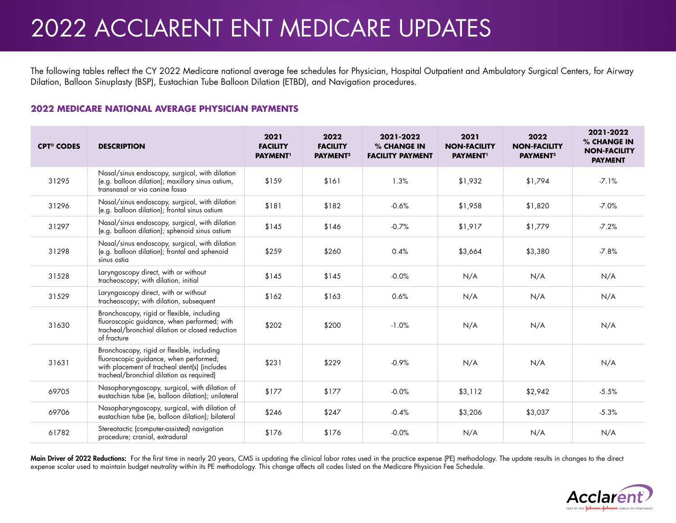# 2022 ACCLARENT ENT MEDICARE UPDATES

The following tables reflect the CY 2022 Medicare national average fee schedules for Physician, Hospital Outpatient and Ambulatory Surgical Centers, for Airway Dilation, Balloon Sinuplasty (BSP), Eustachian Tube Balloon Dilation (ETBD), and Navigation procedures.

## **2022 MEDICARE NATIONAL AVERAGE PHYSICIAN PAYMENTS**

| <b>CPT<sup>®</sup> CODES</b> | <b>DESCRIPTION</b>                                                                                                                                                                | 2021<br><b>FACILITY</b><br><b>PAYMENT</b> | 2022<br><b>FACILITY</b><br>PAYMENT <sup>2</sup> | 2021-2022<br>% CHANGE IN<br><b>FACILITY PAYMENT</b> | 2021<br><b>NON-FACILITY</b><br><b>PAYMENT</b> | 2022<br><b>NON-FACILITY</b><br>PAYMENT <sup>2</sup> | 2021-2022<br>% CHANGE IN<br><b>NON-FACILITY</b><br><b>PAYMENT</b> |
|------------------------------|-----------------------------------------------------------------------------------------------------------------------------------------------------------------------------------|-------------------------------------------|-------------------------------------------------|-----------------------------------------------------|-----------------------------------------------|-----------------------------------------------------|-------------------------------------------------------------------|
| 31295                        | Nasal/sinus endoscopy, surgical, with dilation<br>(e.g. balloon dilation); maxillary sinus ostium,<br>transnasal or via canine fossa                                              | \$159                                     | \$161                                           | 1.3%                                                | \$1.932                                       | \$1,794                                             | $-7.1%$                                                           |
| 31296                        | Nasal/sinus endoscopy, surgical, with dilation<br>(e.g. balloon dilation); frontal sinus ostium                                                                                   | \$181                                     | \$182                                           | $-0.6%$                                             | \$1,958                                       | \$1,820                                             | $-7.0%$                                                           |
| 31297                        | Nasal/sinus endoscopy, surgical, with dilation<br>(e.g. balloon dilation); sphenoid sinus ostium                                                                                  | \$145                                     | \$146                                           | $-0.7%$                                             | \$1,917                                       | \$1,779                                             | $-7.2%$                                                           |
| 31298                        | Nasal/sinus endoscopy, surgical, with dilation<br>(e.g. balloon dilation); frontal and sphenoid<br>sinus ostia                                                                    | \$259                                     | \$260                                           | 0.4%                                                | \$3,664                                       | \$3,380                                             | $-7.8%$                                                           |
| 31528                        | Laryngoscopy direct, with or without<br>tracheoscopy; with dilation, initial                                                                                                      | \$145                                     | \$145                                           | $-0.0%$                                             | N/A                                           | N/A                                                 | N/A                                                               |
| 31529                        | Laryngoscopy direct, with or without<br>tracheoscopy; with dilation, subsequent                                                                                                   | \$162                                     | \$163                                           | 0.6%                                                | N/A                                           | N/A                                                 | N/A                                                               |
| 31630                        | Bronchoscopy, rigid or flexible, including<br>fluoroscopic guidance, when performed; with<br>tracheal/bronchial dilation or closed reduction<br>of fracture                       | \$202                                     | \$200                                           | $-1.0%$                                             | N/A                                           | N/A                                                 | N/A                                                               |
| 31631                        | Bronchoscopy, rigid or flexible, including<br>fluoroscopic guidance, when performed;<br>with placement of tracheal stent(s) (includes<br>tracheal/bronchial dilation as required) | \$231                                     | \$229                                           | $-0.9%$                                             | N/A                                           | N/A                                                 | N/A                                                               |
| 69705                        | Nasopharyngoscopy, surgical, with dilation of<br>eustachian tube (ie, balloon dilation); unilateral                                                                               | \$177                                     | \$177                                           | $-0.0%$                                             | \$3,112                                       | \$2,942                                             | $-5.5%$                                                           |
| 69706                        | Nasopharyngoscopy, surgical, with dilation of<br>eustachian tube (ie, balloon dilation); bilateral                                                                                | \$246                                     | \$247                                           | $-0.4%$                                             | \$3,206                                       | \$3,037                                             | $-5.3%$                                                           |
| 61782                        | Stereotactic (computer-assisted) navigation<br>procedure; cranial, extradural                                                                                                     | \$176                                     | \$176                                           | $-0.0%$                                             | N/A                                           | N/A                                                 | N/A                                                               |

**Main Driver of 2022 Reductions:** For the first time in nearly 20 years, CMS is updating the clinical labor rates used in the practice expense (PE) methodology. The update results in changes to the direct expense scalar used to maintain budget neutrality within its PE methodology. This change affects all codes listed on the Medicare Physician Fee Schedule.

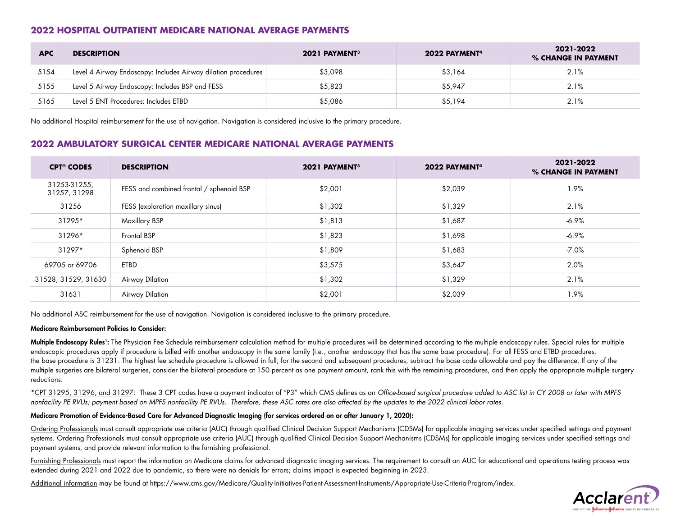## **2022 HOSPITAL OUTPATIENT MEDICARE NATIONAL AVERAGE PAYMENTS**

| <b>APC</b> | <b>DESCRIPTION</b>                                            | 2021 PAYMENT <sup>3</sup> | 2022 PAYMENT <sup>4</sup> | 2021-2022<br>% CHANGE IN PAYMENT |
|------------|---------------------------------------------------------------|---------------------------|---------------------------|----------------------------------|
| 5154       | Level 4 Airway Endoscopy: Includes Airway dilation procedures | \$3,098                   | \$3.164                   | 2.1%                             |
| 5155       | Level 5 Airway Endoscopy: Includes BSP and FESS               | \$5,823                   | \$5,947                   | 2.1%                             |
| 5165       | Level 5 ENT Procedures: Includes ETBD                         | \$5,086                   | \$5,194                   | 2.1%                             |

No additional Hospital reimbursement for the use of navigation. Navigation is considered inclusive to the primary procedure.

## **2022 AMBULATORY SURGICAL CENTER MEDICARE NATIONAL AVERAGE PAYMENTS**

| <b>CPT<sup>®</sup> CODES</b> | <b>DESCRIPTION</b>                       | 2021 PAYMENT <sup>3</sup> | 2022 PAYMENT <sup>4</sup> | 2021-2022<br>% CHANGE IN PAYMENT |
|------------------------------|------------------------------------------|---------------------------|---------------------------|----------------------------------|
| 31253-31255,<br>31257, 31298 | FESS and combined frontal / sphenoid BSP | \$2,001                   | \$2,039                   | 1.9%                             |
| 31256                        | FESS (exploration maxillary sinus)       | \$1,302                   | \$1,329                   | 2.1%                             |
| 31295*                       | <b>Maxillary BSP</b>                     | \$1,813                   | \$1,687                   | $-6.9\%$                         |
| 31296*                       | <b>Frontal BSP</b>                       | \$1,823                   | \$1,698                   | $-6.9\%$                         |
| $31297*$                     | Sphenoid BSP                             | \$1,809                   | \$1,683                   | $-7.0\%$                         |
| 69705 or 69706               | ETBD                                     | \$3,575                   | \$3,647                   | 2.0%                             |
| 31528, 31529, 31630          | Airway Dilation                          | \$1,302                   | \$1,329                   | 2.1%                             |
| 31631                        | Airway Dilation                          | \$2,001                   | \$2,039                   | 1.9%                             |

No additional ASC reimbursement for the use of navigation. Navigation is considered inclusive to the primary procedure.

#### Medicare Reimbursement Policies to Consider:

Multiple Endoscopy Rules<sup>1</sup>: The Physician Fee Schedule reimbursement calculation method for multiple procedures will be determined according to the multiple endoscopy rules. Special rules for multiple endoscopic procedures apply if procedure is billed with another endoscopy in the same family (i.e., another endoscopy that has the same base procedure). For all FESS and ETBD procedures, the base procedure is 31231. The highest fee schedule procedure is allowed in full; for the second and subsequent procedures, subtract the base code allowable and pay the difference. If any of the multiple surgeries are bilateral surgeries, consider the bilateral procedure at 150 percent as one payment amount, rank this with the remaining procedures, and then apply the appropriate multiple surgery reductions.

\*CPT 31295, 31296, and 31297: These 3 CPT codes have a payment indicator of "P3" which CMS defines as an *Office-based surgical procedure added to ASC list in CY 2008 or later with MPFS nonfacility PE RVUs; payment based on MPFS nonfacility PE RVUs. Therefore, these ASC rates are also affected by the updates to the 2022 clinical labor rates.*

#### Medicare Promotion of Evidence-Based Care for Advanced Diagnostic Imaging (for services ordered on or after January 1, 2020):

Ordering Professionals must consult appropriate use criteria (AUC) through qualified Clinical Decision Support Mechanisms (CDSMs) for applicable imaging services under specified settings and payment systems. Ordering Professionals must consult appropriate use criteria (AUC) through qualified Clinical Decision Support Mechanisms (CDSMs) for applicable imaging services under specified settings and payment systems, and provide relevant information to the furnishing professional.

Furnishing Professionals must report the information on Medicare claims for advanced diagnostic imaging services. The requirement to consult an AUC for educational and operations testing process was extended during 2021 and 2022 due to pandemic, so there were no denials for errors; claims impact is expected beginning in 2023.

Additional information may be found at https://www.cms.gov/Medicare/Quality-Initiatives-Patient-Assessment-Instruments/Appropriate-Use-Criteria-Program/index.

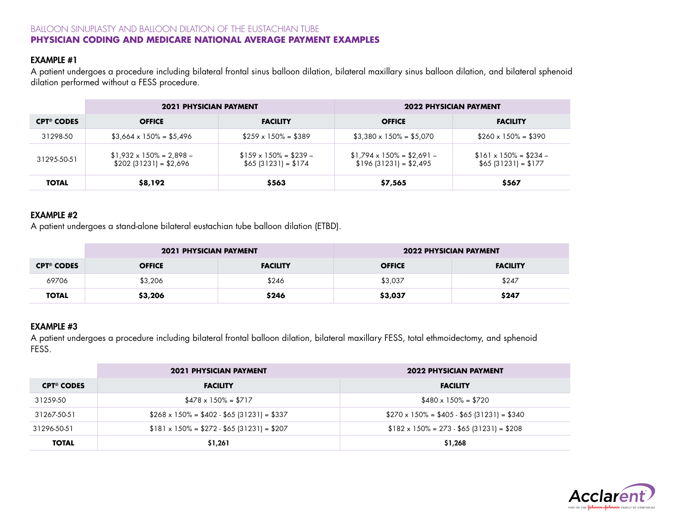# BALLOON SINUPLASTY AND BALLOON DILATION OF THE EUSTACHIAN TUBE **PHYSICIAN CODING AND MEDICARE NATIONAL AVERAGE PAYMENT EXAMPLES**

# EXAMPLE #1

A patient undergoes a procedure including bilateral frontal sinus balloon dilation, bilateral maxillary sinus balloon dilation, and bilateral sphenoid dilation performed without a FESS procedure.

|                              | <b>2021 PHYSICIAN PAYMENT</b>                               |                                                       | <b>2022 PHYSICIAN PAYMENT</b>                                |                                                       |
|------------------------------|-------------------------------------------------------------|-------------------------------------------------------|--------------------------------------------------------------|-------------------------------------------------------|
| <b>CPT<sup>®</sup> CODES</b> | <b>OFFICE</b>                                               | <b>FACILITY</b>                                       | <b>OFFICE</b>                                                | <b>FACILITY</b>                                       |
| 31298-50                     | $$3,664 \times 150\% = $5,496$                              | $$259 \times 150\% = $389$                            | $$3,380 \times 150\% = $5,070$                               | $$260 \times 150\% = $390$                            |
| 31295-50-51                  | $$1,932 \times 150\% = 2,898 -$<br>$$202$ (31231) = \$2,696 | $$159 \times 150\% = $239 -$<br>$$65$ (31231) = \$174 | $$1,794 \times 150\% = $2,691 -$<br>$$196$ (31231) = \$2,495 | $$161 \times 150\% = $234 -$<br>$$65$ (31231) = \$177 |
| <b>TOTAL</b>                 | \$8,192                                                     | \$563                                                 | \$7,565                                                      | \$567                                                 |

# EXAMPLE #2

A patient undergoes a stand-alone bilateral eustachian tube balloon dilation (ETBD).

|                              | <b>2021 PHYSICIAN PAYMENT</b> |                 | <b>2022 PHYSICIAN PAYMENT</b> |                 |
|------------------------------|-------------------------------|-----------------|-------------------------------|-----------------|
| <b>CPT<sup>®</sup> CODES</b> | <b>OFFICE</b>                 | <b>FACILITY</b> | <b>OFFICE</b>                 | <b>FACILITY</b> |
| 69706                        | \$3,206                       | \$246           | \$3,037                       | \$247           |
| <b>TOTAL</b>                 | \$3,206                       | \$246           | \$3,037                       | \$247           |

# EXAMPLE #3

A patient undergoes a procedure including bilateral frontal balloon dilation, bilateral maxillary FESS, total ethmoidectomy, and sphenoid FESS.

|                              | <b>2021 PHYSICIAN PAYMENT</b>                   | <b>2022 PHYSICIAN PAYMENT</b>                   |  |
|------------------------------|-------------------------------------------------|-------------------------------------------------|--|
| <b>CPT<sup>®</sup> CODES</b> | <b>FACILITY</b>                                 | <b>FACILITY</b>                                 |  |
| 31259-50                     | $$478 \times 150\% = $717$                      | $$480 \times 150\% = $720$                      |  |
| 31267-50-51                  | $$268 \times 150\% = $402 - $65 [31231] = $337$ | $$270 \times 150\% = $405 - $65 (31231) = $340$ |  |
| 31296-50-51                  | $$181 \times 150\% = $272 - $65 (31231) = $207$ | $$182 \times 150\% = 273 - $65 (31231) = $208$  |  |
| <b>TOTAL</b>                 | \$1,261                                         | \$1,268                                         |  |

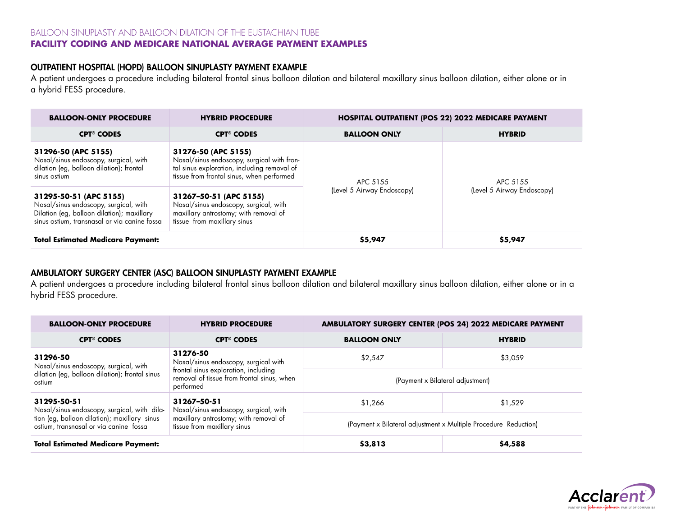#### BALLOON SINUPLASTY AND BALLOON DILATION OF THE EUSTACHIAN TUBE **FACILITY CODING AND MEDICARE NATIONAL AVERAGE PAYMENT EXAMPLES**

# OUTPATIENT HOSPITAL (HOPD) BALLOON SINUPLASTY PAYMENT EXAMPLE

A patient undergoes a procedure including bilateral frontal sinus balloon dilation and bilateral maxillary sinus balloon dilation, either alone or in a hybrid FESS procedure.

| <b>BALLOON-ONLY PROCEDURE</b><br><b>HYBRID PROCEDURE</b>                                                                                                                                                                                                                                                 |                              | <b>HOSPITAL OUTPATIENT (POS 22) 2022 MEDICARE PAYMENT</b> |                                        |  |
|----------------------------------------------------------------------------------------------------------------------------------------------------------------------------------------------------------------------------------------------------------------------------------------------------------|------------------------------|-----------------------------------------------------------|----------------------------------------|--|
| <b>CPT<sup>®</sup> CODES</b>                                                                                                                                                                                                                                                                             | <b>CPT<sup>®</sup> CODES</b> | <b>BALLOON ONLY</b>                                       | <b>HYBRID</b>                          |  |
| 31296-50 (APC 5155)<br>31276-50 (APC 5155)<br>Nasal/sinus endoscopy, surgical, with<br>Nasal/sinus endoscopy, surgical with fron-<br>dilation (eg, balloon dilation); frontal<br>tal sinus exploration, including removal of<br>tissue from frontal sinus, when performed<br>sinus ostium                |                              | APC 5155<br>(Level 5 Airway Endoscopy)                    | APC 5155<br>(Level 5 Airway Endoscopy) |  |
| 31295-50-51 (APC 5155)<br>31267-50-51 (APC 5155)<br>Nasal/sinus endoscopy, surgical, with<br>Nasal/sinus endoscopy, surgical, with<br>Dilation (eg, balloon dilation); maxillary<br>maxillary antrostomy; with removal of<br>sinus ostium, transnasal or via canine fossa<br>tissue from maxillary sinus |                              |                                                           |                                        |  |
| <b>Total Estimated Medicare Payment:</b>                                                                                                                                                                                                                                                                 |                              | \$5,947                                                   | \$5,947                                |  |

# AMBULATORY SURGERY CENTER (ASC) BALLOON SINUPLASTY PAYMENT EXAMPLE

A patient undergoes a procedure including bilateral frontal sinus balloon dilation and bilateral maxillary sinus balloon dilation, either alone or in a hybrid FESS procedure.

| <b>BALLOON-ONLY PROCEDURE</b>                                                                                      | <b>HYBRID PROCEDURE</b>                                                                         | AMBULATORY SURGERY CENTER (POS 24) 2022 MEDICARE PAYMENT        |               |  |
|--------------------------------------------------------------------------------------------------------------------|-------------------------------------------------------------------------------------------------|-----------------------------------------------------------------|---------------|--|
| <b>CPT<sup>®</sup> CODES</b>                                                                                       | <b>CPT<sup>®</sup> CODES</b>                                                                    | <b>BALLOON ONLY</b>                                             | <b>HYBRID</b> |  |
| 31296-50<br>Nasal/sinus endoscopy, surgical, with                                                                  | 31276-50<br>Nasal/sinus endoscopy, surgical with                                                | \$2,547                                                         | \$3,059       |  |
| dilation (eg, balloon dilation); frontal sinus<br>ostium                                                           | frontal sinus exploration, including<br>removal of tissue from frontal sinus, when<br>performed | (Payment x Bilateral adjustment)                                |               |  |
| 31295-50-51<br>31267-50-51<br>Nasal/sinus endoscopy, surgical, with dila-<br>Nasal/sinus endoscopy, surgical, with |                                                                                                 | \$1,266                                                         | \$1,529       |  |
| tion (eg, balloon dilation); maxillary sinus<br>ostium, transnasal or via canine fossa                             | maxillary antrostomy; with removal of<br>tissue from maxillary sinus                            | (Payment x Bilateral adjustment x Multiple Procedure Reduction) |               |  |
| <b>Total Estimated Medicare Payment:</b>                                                                           |                                                                                                 | \$3,813                                                         | \$4,588       |  |